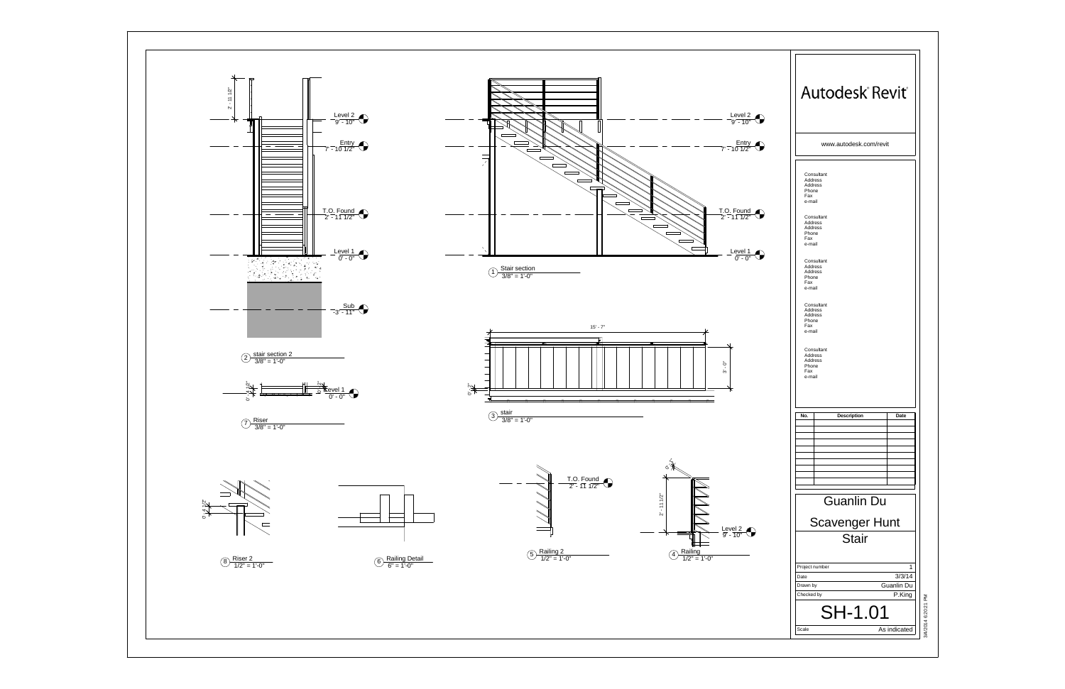| Autodesk Reviť                                                                                                                                                                                                                                                                                                     |                     |  |  |
|--------------------------------------------------------------------------------------------------------------------------------------------------------------------------------------------------------------------------------------------------------------------------------------------------------------------|---------------------|--|--|
| www.autodesk.com/revit                                                                                                                                                                                                                                                                                             |                     |  |  |
| Consultant<br>Address<br>Address<br>Phone<br>Fax<br>e-mail<br>Consultant<br>Address<br>Address<br>Phone<br>Fax<br>e-mail<br>Consultant<br>Address<br>Address<br>Phone<br>Fax<br>e-mail<br>Consultant<br>Address<br>Address<br>Phone<br>Fax<br>e-mail<br>Consultant<br>Address<br>Address<br>Phone<br>Fax<br>e-mail |                     |  |  |
| No.<br>Description<br>Date                                                                                                                                                                                                                                                                                         |                     |  |  |
| <b>Guanlin Du</b><br><b>Scavenger Hunt</b><br><b>Stair</b>                                                                                                                                                                                                                                                         |                     |  |  |
| Project number<br>1<br>3/3/14<br>Date<br>Guanlin Du<br>Drawn by<br>Checked by<br>P.King<br>SH-1.01<br>As indicated<br>Scale                                                                                                                                                                                        | 3/4/2014 6:20:21 PM |  |  |

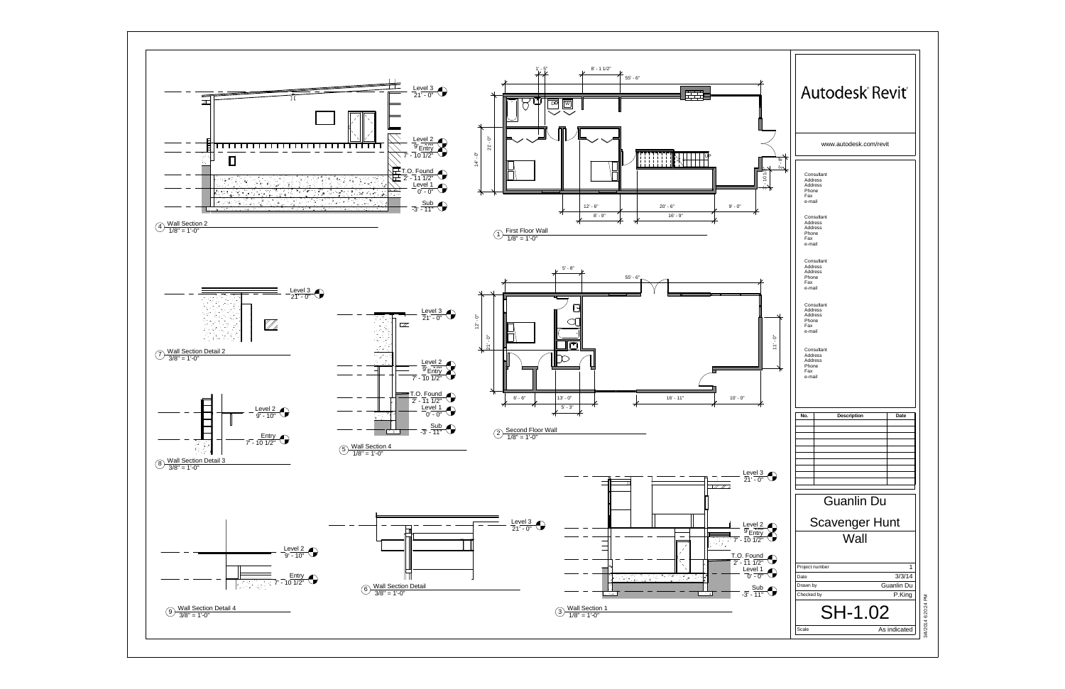

|                | Autodesk Reviť                                                                                                                                                                                                                                                                                                     |                     |  |  |
|----------------|--------------------------------------------------------------------------------------------------------------------------------------------------------------------------------------------------------------------------------------------------------------------------------------------------------------------|---------------------|--|--|
| ŗ              | www.autodesk.com/revit                                                                                                                                                                                                                                                                                             |                     |  |  |
| $\overline{1}$ | Consultant<br>Address<br>Address<br>Phone<br>Fax<br>e-mail<br>Consultant<br>Address<br>Address<br>Phone<br>Fax<br>e-mail<br>Consultant<br>Address<br>Address<br>Phone<br>Fax<br>e-mail<br>Consultant<br>Address<br>Address<br>Phone<br>Fax<br>e-mail<br>Consultant<br>Address<br>Address<br>Phone<br>Fax<br>e-mail |                     |  |  |
|                | No.<br>Description<br>Date                                                                                                                                                                                                                                                                                         |                     |  |  |
|                | <b>Guanlin Du</b>                                                                                                                                                                                                                                                                                                  |                     |  |  |
|                | Scavenger Hunt<br>Wall                                                                                                                                                                                                                                                                                             |                     |  |  |
|                | Project number<br>1<br>3/3/14<br>Date<br>Guanlin Du<br>Drawn by<br>Checked by<br>P.King<br>SH-1.02<br>As indicated<br>Scale                                                                                                                                                                                        | 3/4/2014 6:20:24 PM |  |  |
|                |                                                                                                                                                                                                                                                                                                                    |                     |  |  |